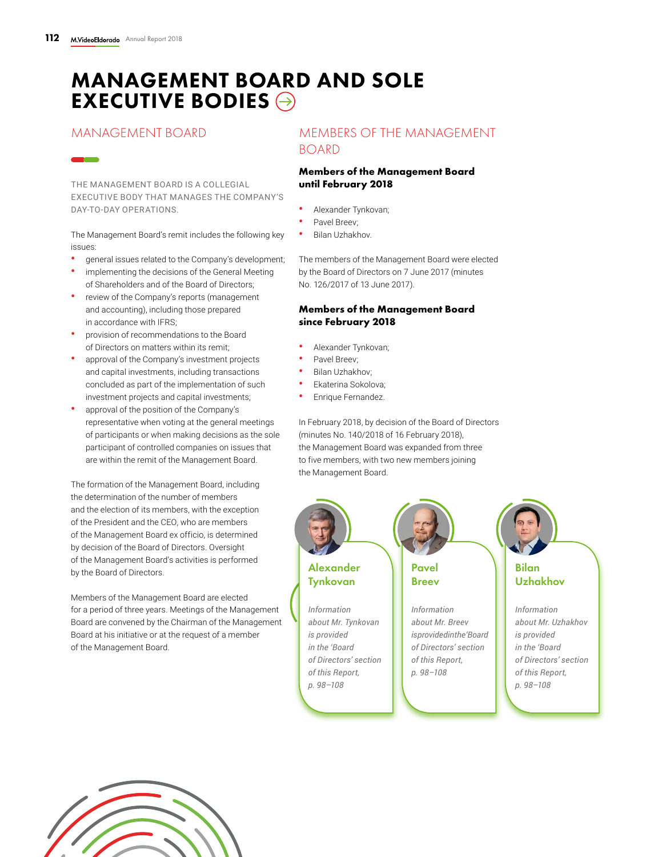# MANAGEMENT BOARD AND SOLE EXECUTIVE BODIES  $\ominus$

# MANAGEMENT BOARD

THE MANAGEMENT BOARD IS A COLLEGIAL EXECUTIVE BODY THAT MANAGES THE COMPANY'S DAY-TO-DAY OPERATIONS.

The Management Board's remit includes the following key issues:

- **•** general issues related to the Company's development;
- **•** implementing the decisions of the General Meeting of Shareholders and of the Board of Directors;
- **•** review of the Company's reports (management and accounting), including those prepared in accordance with IFRS;
- **•** provision of recommendations to the Board of Directors on matters within its remit;
- **•** approval of the Company's investment projects and capital investments, including transactions concluded as part of the implementation of such investment projects and capital investments;
- **•** approval of the position of the Company's representative when voting at the general meetings of participants or when making decisions as the sole participant of controlled companies on issues that are within the remit of the Management Board.

The formation of the Management Board, including the determination of the number of members and the election of its members, with the exception of the President and the CEO, who are members of the Management Board ex officio, is determined by decision of the Board of Directors. Oversight of the Management Board's activities is performed by the Board of Directors.

Members of the Management Board are elected for a period of three years. Meetings of the Management Board are convened by the Chairman of the Management Board at his initiative or at the request of a member of the Management Board.

# MEMBERS OF THE MANAGEMENT BOARD

### **Members of the Management Board until February 2018**

- **•** Alexander Tynkovan;
- **•** Pavel Breev;
- **•** Bilan Uzhakhov.

The members of the Management Board were elected by the Board of Directors on 7 June 2017 (minutes No. 126/2017 of 13 June 2017).

### **Members of the Management Board since February 2018**

- **•** Alexander Tynkovan;
- **•** Pavel Breev;
- **•** Bilan Uzhakhov;
- **•** Ekaterina Sokolova;
- **•** Enrique Fernandez.

In February 2018, by decision of the Board of Directors (minutes No. 140/2018 of 16 February 2018), the Management Board was expanded from three to five members, with two new members joining the Management Board.



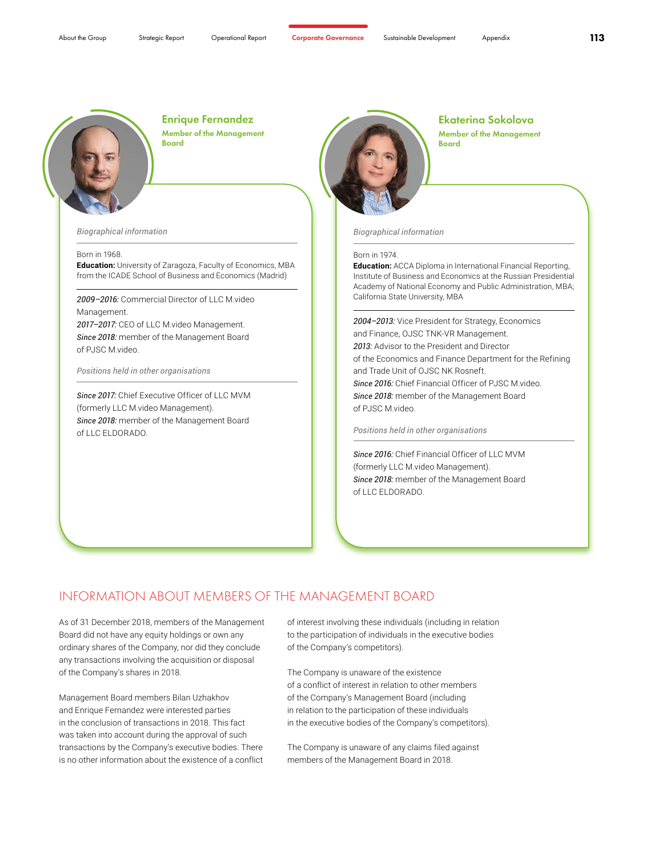

Enrique Fernandez Member of the Management Board

*Biographical information*

#### Born in 1968.

**Education:** University of Zaragoza, Faculty of Economics, MBA from the ICADE School of Business and Economics (Madrid)

*2009–2016:* Commercial Director of LLC M.video Management. *2017–2017:* CEO of LLC M.video Management.

*Since 2018:* member of the Management Board of PJSC M.video.

*Positions held in other organisations* 

*Since 2017:* Chief Executive Officer of LLC MVM (formerly LLC M.video Management). *Since 2018:* member of the Management Board of LLC ELDORADO.



Ekaterina Sokolova Member of the Management Board

*Biographical information*

#### Born in 1974.

**Education:** ACCA Diploma in International Financial Reporting, Institute of Business and Economics at the Russian Presidential Academy of National Economy and Public Administration, MBA; California State University, MBA

*2004–2013:* Vice President for Strategy, Economics and Finance, OJSC TNK-VR Management. *2013:* Advisor to the President and Director of the Economics and Finance Department for the Refining and Trade Unit of OJSC NK Rosneft. *Since 2016:* Chief Financial Officer of PJSC M.video. *Since 2018:* member of the Management Board of PJSC M.video.

*Positions held in other organisations* 

*Since 2016:* Chief Financial Officer of LLC MVM (formerly LLC M.video Management). *Since 2018:* member of the Management Board of LLC ELDORADO.

## INFORMATION ABOUT MEMBERS OF THE MANAGEMENT BOARD

As of 31 December 2018, members of the Management Board did not have any equity holdings or own any ordinary shares of the Company, nor did they conclude any transactions involving the acquisition or disposal of the Company's shares in 2018.

Management Board members Bilan Uzhakhov and Enrique Fernandez were interested parties in the conclusion of transactions in 2018. This fact was taken into account during the approval of such transactions by the Company's executive bodies. There is no other information about the existence of a conflict

of interest involving these individuals (including in relation to the participation of individuals in the executive bodies of the Company's competitors).

The Company is unaware of the existence of a conflict of interest in relation to other members of the Company's Management Board (including in relation to the participation of these individuals in the executive bodies of the Company's competitors).

The Company is unaware of any claims filed against members of the Management Board in 2018.